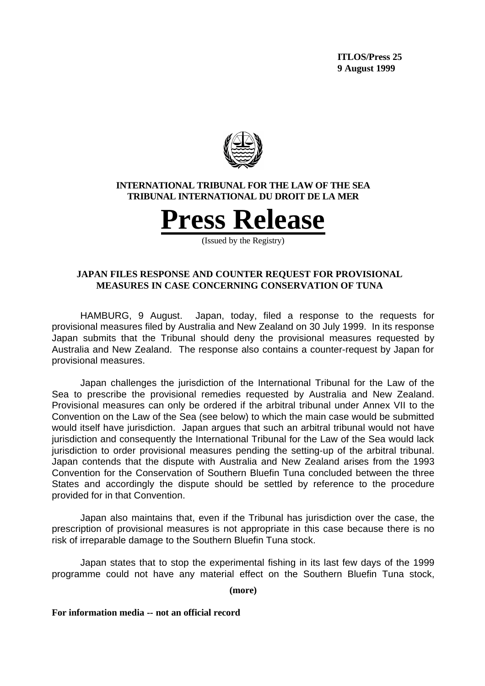**ITLOS/Press 25 9 August 1999**



### **INTERNATIONAL TRIBUNAL FOR THE LAW OF THE SEA TRIBUNAL INTERNATIONAL DU DROIT DE LA MER**

**Press Release**

(Issued by the Registry)

# **JAPAN FILES RESPONSE AND COUNTER REQUEST FOR PROVISIONAL MEASURES IN CASE CONCERNING CONSERVATION OF TUNA**

HAMBURG, 9 August. Japan, today, filed a response to the requests for provisional measures filed by Australia and New Zealand on 30 July 1999. In its response Japan submits that the Tribunal should deny the provisional measures requested by Australia and New Zealand. The response also contains a counter-request by Japan for provisional measures.

Japan challenges the jurisdiction of the International Tribunal for the Law of the Sea to prescribe the provisional remedies requested by Australia and New Zealand. Provisional measures can only be ordered if the arbitral tribunal under Annex VII to the Convention on the Law of the Sea (see below) to which the main case would be submitted would itself have jurisdiction. Japan argues that such an arbitral tribunal would not have jurisdiction and consequently the International Tribunal for the Law of the Sea would lack jurisdiction to order provisional measures pending the setting-up of the arbitral tribunal. Japan contends that the dispute with Australia and New Zealand arises from the 1993 Convention for the Conservation of Southern Bluefin Tuna concluded between the three States and accordingly the dispute should be settled by reference to the procedure provided for in that Convention.

Japan also maintains that, even if the Tribunal has jurisdiction over the case, the prescription of provisional measures is not appropriate in this case because there is no risk of irreparable damage to the Southern Bluefin Tuna stock.

Japan states that to stop the experimental fishing in its last few days of the 1999 programme could not have any material effect on the Southern Bluefin Tuna stock,

**(more)**

**For information media -- not an official record**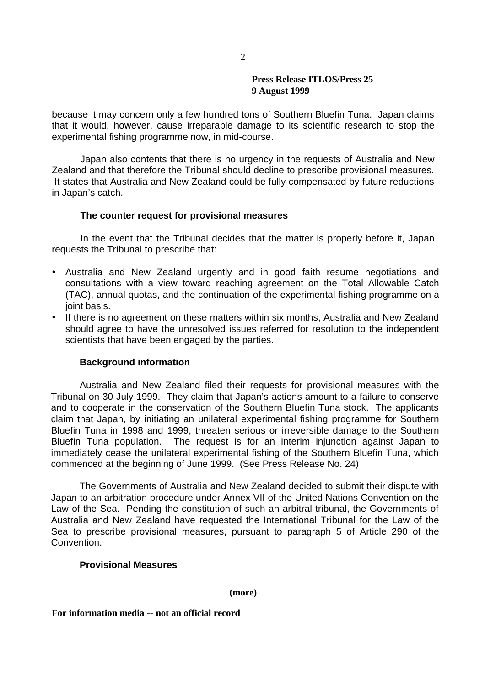### **Press Release ITLOS/Press 25 9 August 1999**

because it may concern only a few hundred tons of Southern Bluefin Tuna. Japan claims that it would, however, cause irreparable damage to its scientific research to stop the experimental fishing programme now, in mid-course.

Japan also contents that there is no urgency in the requests of Australia and New Zealand and that therefore the Tribunal should decline to prescribe provisional measures. It states that Australia and New Zealand could be fully compensated by future reductions in Japan's catch.

# **The counter request for provisional measures**

In the event that the Tribunal decides that the matter is properly before it, Japan requests the Tribunal to prescribe that:

- Australia and New Zealand urgently and in good faith resume negotiations and consultations with a view toward reaching agreement on the Total Allowable Catch (TAC), annual quotas, and the continuation of the experimental fishing programme on a joint basis.
- If there is no agreement on these matters within six months, Australia and New Zealand should agree to have the unresolved issues referred for resolution to the independent scientists that have been engaged by the parties.

# **Background information**

Australia and New Zealand filed their requests for provisional measures with the Tribunal on 30 July 1999. They claim that Japan's actions amount to a failure to conserve and to cooperate in the conservation of the Southern Bluefin Tuna stock. The applicants claim that Japan, by initiating an unilateral experimental fishing programme for Southern Bluefin Tuna in 1998 and 1999, threaten serious or irreversible damage to the Southern Bluefin Tuna population. The request is for an interim injunction against Japan to immediately cease the unilateral experimental fishing of the Southern Bluefin Tuna, which commenced at the beginning of June 1999. (See Press Release No. 24)

The Governments of Australia and New Zealand decided to submit their dispute with Japan to an arbitration procedure under Annex VII of the United Nations Convention on the Law of the Sea. Pending the constitution of such an arbitral tribunal, the Governments of Australia and New Zealand have requested the International Tribunal for the Law of the Sea to prescribe provisional measures, pursuant to paragraph 5 of Article 290 of the **Convention** 

#### **Provisional Measures**

**(more)**

**For information media -- not an official record**